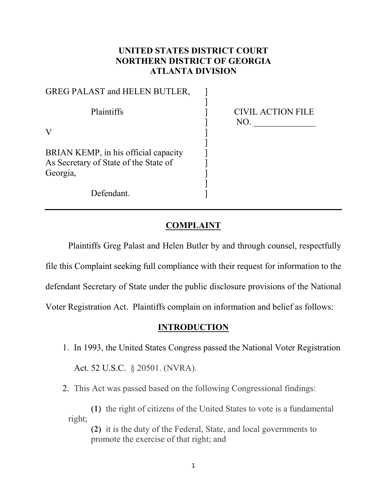## **UNITED STATES DISTRICT COURT NORTHERN DISTRICT OF GEORGIA ATLANTA DIVISION**

| GREG PALAST and HELEN BUTLER,                                                 |                                 |
|-------------------------------------------------------------------------------|---------------------------------|
| Plaintiffs                                                                    | <b>CIVIL ACTION FILE</b><br>NO. |
| V                                                                             |                                 |
| BRIAN KEMP, in his official capacity<br>As Secretary of State of the State of |                                 |
| Georgia,                                                                      |                                 |
| Defendant.                                                                    |                                 |

## **COMPLAINT**

Plaintiffs Greg Palast and Helen Butler by and through counsel, respectfully file this Complaint seeking full compliance with their request for information to the defendant Secretary of State under the public disclosure provisions of the National Voter Registration Act. Plaintiffs complain on information and belief as follows:

### **INTRODUCTION**

1. In 1993, the United States Congress passed the National Voter Registration

Act. 52 U.S.C. § 20501. (NVRA).

2. This Act was passed based on the following Congressional findings:

**(1)** the right of citizens of the United States to vote is a fundamental right;

**(2)** it is the duty of the Federal, State, and local governments to promote the exercise of that right; and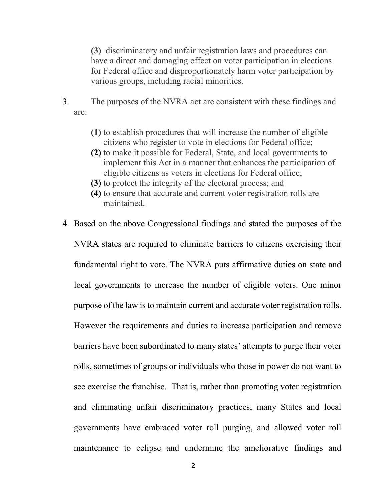**(3)** discriminatory and unfair registration laws and procedures can have a direct and damaging effect on voter participation in elections for Federal office and disproportionately harm voter participation by various groups, including racial minorities.

- 3. The purposes of the NVRA act are consistent with these findings and are:
	- **(1)** to establish procedures that will increase the number of eligible citizens who register to vote in elections for Federal office;
	- **(2)** to make it possible for Federal, State, and local governments to implement this Act in a manner that enhances the participation of eligible citizens as voters in elections for Federal office;
	- **(3)** to protect the integrity of the electoral process; and
	- **(4)** to ensure that accurate and current voter registration rolls are maintained.
- 4. Based on the above Congressional findings and stated the purposes of the NVRA states are required to eliminate barriers to citizens exercising their fundamental right to vote. The NVRA puts affirmative duties on state and local governments to increase the number of eligible voters. One minor purpose of the law is to maintain current and accurate voter registration rolls. However the requirements and duties to increase participation and remove barriers have been subordinated to many states' attempts to purge their voter rolls, sometimes of groups or individuals who those in power do not want to see exercise the franchise. That is, rather than promoting voter registration and eliminating unfair discriminatory practices, many States and local governments have embraced voter roll purging, and allowed voter roll maintenance to eclipse and undermine the ameliorative findings and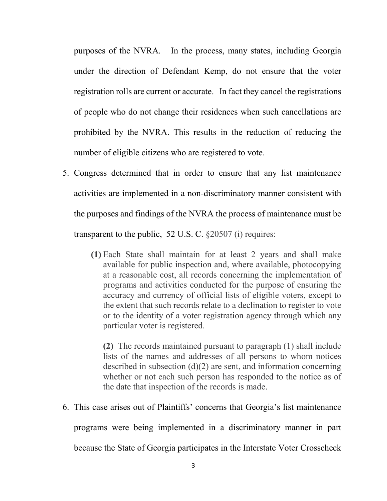purposes of the NVRA. In the process, many states, including Georgia under the direction of Defendant Kemp, do not ensure that the voter registration rolls are current or accurate. In fact they cancel the registrations of people who do not change their residences when such cancellations are prohibited by the NVRA. This results in the reduction of reducing the number of eligible citizens who are registered to vote.

- 5. Congress determined that in order to ensure that any list maintenance activities are implemented in a non-discriminatory manner consistent with the purposes and findings of the NVRA the process of maintenance must be transparent to the public, 52 U.S. C. §20507 (i) requires:
	- **(1)** Each State shall maintain for at least 2 years and shall make available for public inspection and, where available, photocopying at a reasonable cost, all records concerning the implementation of programs and activities conducted for the purpose of ensuring the accuracy and currency of official lists of eligible voters, except to the extent that such records relate to a declination to register to vote or to the identity of a voter registration agency through which any particular voter is registered.

**(2)** The records maintained pursuant to paragraph (1) shall include lists of the names and addresses of all persons to whom notices described in subsection (d)(2) are sent, and information concerning whether or not each such person has responded to the notice as of the date that inspection of the records is made.

6. This case arises out of Plaintiffs' concerns that Georgia's list maintenance

programs were being implemented in a discriminatory manner in part

because the State of Georgia participates in the Interstate Voter Crosscheck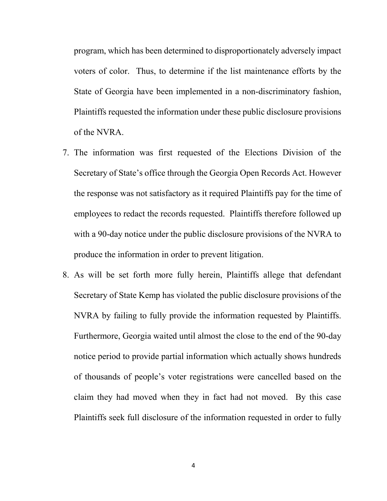program, which has been determined to disproportionately adversely impact voters of color. Thus, to determine if the list maintenance efforts by the State of Georgia have been implemented in a non-discriminatory fashion, Plaintiffs requested the information under these public disclosure provisions of the NVRA.

- 7. The information was first requested of the Elections Division of the Secretary of State's office through the Georgia Open Records Act. However the response was not satisfactory as it required Plaintiffs pay for the time of employees to redact the records requested. Plaintiffs therefore followed up with a 90-day notice under the public disclosure provisions of the NVRA to produce the information in order to prevent litigation.
- 8. As will be set forth more fully herein, Plaintiffs allege that defendant Secretary of State Kemp has violated the public disclosure provisions of the NVRA by failing to fully provide the information requested by Plaintiffs. Furthermore, Georgia waited until almost the close to the end of the 90-day notice period to provide partial information which actually shows hundreds of thousands of people's voter registrations were cancelled based on the claim they had moved when they in fact had not moved. By this case Plaintiffs seek full disclosure of the information requested in order to fully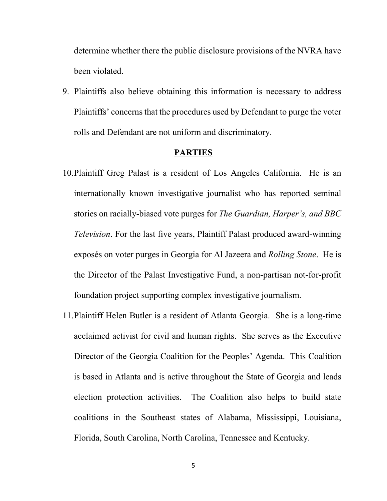determine whether there the public disclosure provisions of the NVRA have been violated.

9. Plaintiffs also believe obtaining this information is necessary to address Plaintiffs' concerns that the procedures used by Defendant to purge the voter rolls and Defendant are not uniform and discriminatory.

### **PARTIES**

- 10.Plaintiff Greg Palast is a resident of Los Angeles California. He is an internationally known investigative journalist who has reported seminal stories on racially-biased vote purges for *The Guardian, Harper's, and BBC Television*. For the last five years, Plaintiff Palast produced award-winning exposés on voter purges in Georgia for Al Jazeera and *Rolling Stone*. He is the Director of the Palast Investigative Fund, a non-partisan not-for-profit foundation project supporting complex investigative journalism.
- 11.Plaintiff Helen Butler is a resident of Atlanta Georgia. She is a long-time acclaimed activist for civil and human rights. She serves as the Executive Director of the Georgia Coalition for the Peoples' Agenda. This Coalition is based in Atlanta and is active throughout the State of Georgia and leads election protection activities. The Coalition also helps to build state coalitions in the Southeast states of Alabama, Mississippi, Louisiana, Florida, South Carolina, North Carolina, Tennessee and Kentucky.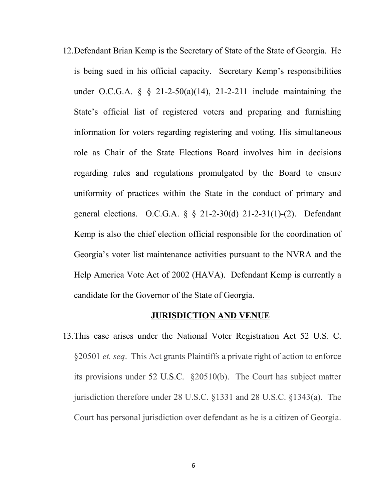12.Defendant Brian Kemp is the Secretary of State of the State of Georgia. He is being sued in his official capacity. Secretary Kemp's responsibilities under O.C.G.A.  $\S$   $\S$  21-2-50(a)(14), 21-2-211 include maintaining the State's official list of registered voters and preparing and furnishing information for voters regarding registering and voting. His simultaneous role as Chair of the State Elections Board involves him in decisions regarding rules and regulations promulgated by the Board to ensure uniformity of practices within the State in the conduct of primary and general elections. O.C.G.A. § § 21-2-30(d) 21-2-31(1)-(2). Defendant Kemp is also the chief election official responsible for the coordination of Georgia's voter list maintenance activities pursuant to the NVRA and the Help America Vote Act of 2002 (HAVA). Defendant Kemp is currently a candidate for the Governor of the State of Georgia.

#### **JURISDICTION AND VENUE**

13.This case arises under the National Voter Registration Act 52 U.S. C. §20501 *et. seq*. This Act grants Plaintiffs a private right of action to enforce its provisions under 52 U.S.C. §20510(b). The Court has subject matter jurisdiction therefore under 28 U.S.C. §1331 and 28 U.S.C. §1343(a). The Court has personal jurisdiction over defendant as he is a citizen of Georgia.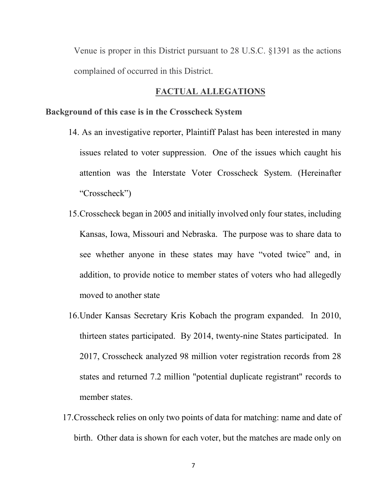Venue is proper in this District pursuant to 28 U.S.C. §1391 as the actions complained of occurred in this District.

## **FACTUAL ALLEGATIONS**

### **Background of this case is in the Crosscheck System**

- 14. As an investigative reporter, Plaintiff Palast has been interested in many issues related to voter suppression. One of the issues which caught his attention was the Interstate Voter Crosscheck System. (Hereinafter "Crosscheck")
- 15.Crosscheck began in 2005 and initially involved only four states, including Kansas, Iowa, Missouri and Nebraska. The purpose was to share data to see whether anyone in these states may have "voted twice" and, in addition, to provide notice to member states of voters who had allegedly moved to another state
- 16.Under Kansas Secretary Kris Kobach the program expanded. In 2010, thirteen states participated. By 2014, twenty-nine States participated. In 2017, Crosscheck analyzed 98 million voter registration records from 28 states and returned 7.2 million "potential duplicate registrant" records to member states.
- 17.Crosscheck relies on only two points of data for matching: name and date of birth. Other data is shown for each voter, but the matches are made only on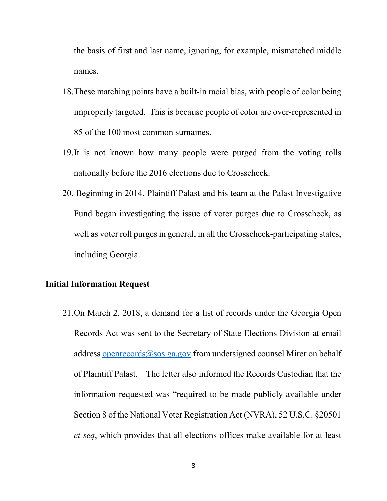the basis of first and last name, ignoring, for example, mismatched middle names.

- 18.These matching points have a built-in racial bias, with people of color being improperly targeted. This is because people of color are over-represented in 85 of the 100 most common surnames.
- 19.It is not known how many people were purged from the voting rolls nationally before the 2016 elections due to Crosscheck.
- 20. Beginning in 2014, Plaintiff Palast and his team at the Palast Investigative Fund began investigating the issue of voter purges due to Crosscheck, as well as voter roll purges in general, in all the Crosscheck-participating states, including Georgia.

## **Initial Information Request**

21.On March 2, 2018, a demand for a list of records under the Georgia Open Records Act was sent to the Secretary of State Elections Division at email address [openrecords@sos.ga.gov](mailto:openrecords@sos.ga.gov) from undersigned counsel Mirer on behalf of Plaintiff Palast. The letter also informed the Records Custodian that the information requested was "required to be made publicly available under Section 8 of the National Voter Registration Act (NVRA), 52 U.S.C. §20501 *et seq*, which provides that all elections offices make available for at least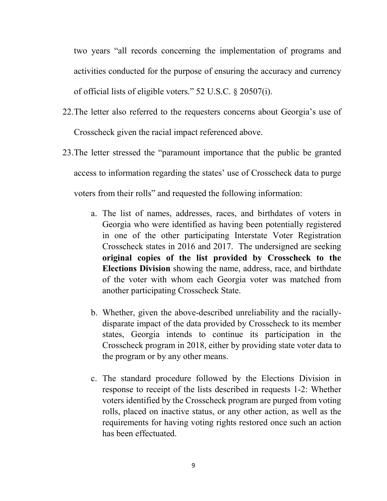two years "all records concerning the implementation of programs and activities conducted for the purpose of ensuring the accuracy and currency of official lists of eligible voters." 52 U.S.C. § 20507(i).

- 22.The letter also referred to the requesters concerns about Georgia's use of Crosscheck given the racial impact referenced above.
- 23.The letter stressed the "paramount importance that the public be granted access to information regarding the states' use of Crosscheck data to purge voters from their rolls" and requested the following information:
	- a. The list of names, addresses, races, and birthdates of voters in Georgia who were identified as having been potentially registered in one of the other participating Interstate Voter Registration Crosscheck states in 2016 and 2017. The undersigned are seeking **original copies of the list provided by Crosscheck to the Elections Division** showing the name, address, race, and birthdate of the voter with whom each Georgia voter was matched from another participating Crosscheck State.
	- b. Whether, given the above-described unreliability and the raciallydisparate impact of the data provided by Crosscheck to its member states, Georgia intends to continue its participation in the Crosscheck program in 2018, either by providing state voter data to the program or by any other means.
	- c. The standard procedure followed by the Elections Division in response to receipt of the lists described in requests 1-2: Whether voters identified by the Crosscheck program are purged from voting rolls, placed on inactive status, or any other action, as well as the requirements for having voting rights restored once such an action has been effectuated.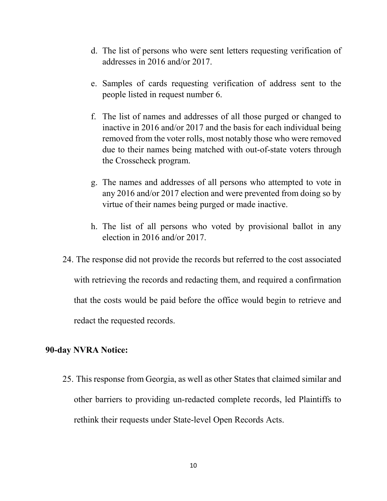- d. The list of persons who were sent letters requesting verification of addresses in 2016 and/or 2017.
- e. Samples of cards requesting verification of address sent to the people listed in request number 6.
- f. The list of names and addresses of all those purged or changed to inactive in 2016 and/or 2017 and the basis for each individual being removed from the voter rolls, most notably those who were removed due to their names being matched with out-of-state voters through the Crosscheck program.
- g. The names and addresses of all persons who attempted to vote in any 2016 and/or 2017 election and were prevented from doing so by virtue of their names being purged or made inactive.
- h. The list of all persons who voted by provisional ballot in any election in 2016 and/or 2017.
- 24. The response did not provide the records but referred to the cost associated with retrieving the records and redacting them, and required a confirmation that the costs would be paid before the office would begin to retrieve and redact the requested records.

### **90-day NVRA Notice:**

25. This response from Georgia, as well as other States that claimed similar and other barriers to providing un-redacted complete records, led Plaintiffs to rethink their requests under State-level Open Records Acts.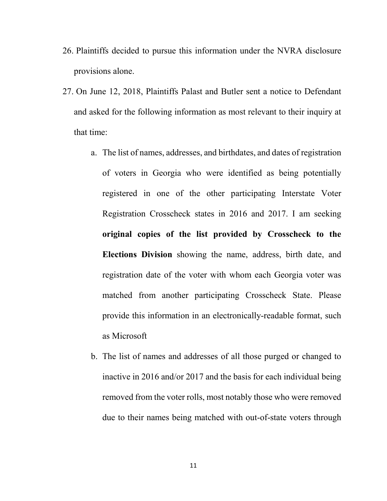- 26. Plaintiffs decided to pursue this information under the NVRA disclosure provisions alone.
- 27. On June 12, 2018, Plaintiffs Palast and Butler sent a notice to Defendant and asked for the following information as most relevant to their inquiry at that time:
	- a. The list of names, addresses, and birthdates, and dates of registration of voters in Georgia who were identified as being potentially registered in one of the other participating Interstate Voter Registration Crosscheck states in 2016 and 2017. I am seeking **original copies of the list provided by Crosscheck to the Elections Division** showing the name, address, birth date, and registration date of the voter with whom each Georgia voter was matched from another participating Crosscheck State. Please provide this information in an electronically-readable format, such as Microsoft
	- b. The list of names and addresses of all those purged or changed to inactive in 2016 and/or 2017 and the basis for each individual being removed from the voter rolls, most notably those who were removed due to their names being matched with out-of-state voters through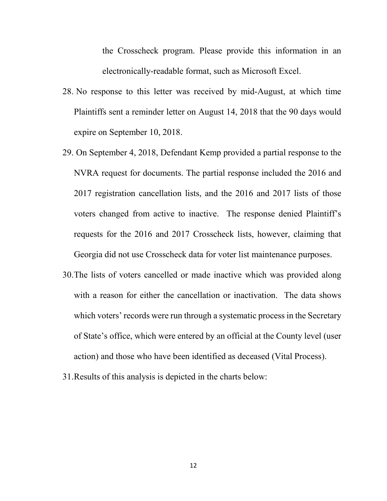the Crosscheck program. Please provide this information in an electronically-readable format, such as Microsoft Excel.

- 28. No response to this letter was received by mid-August, at which time Plaintiffs sent a reminder letter on August 14, 2018 that the 90 days would expire on September 10, 2018.
- 29. On September 4, 2018, Defendant Kemp provided a partial response to the NVRA request for documents. The partial response included the 2016 and 2017 registration cancellation lists, and the 2016 and 2017 lists of those voters changed from active to inactive. The response denied Plaintiff's requests for the 2016 and 2017 Crosscheck lists, however, claiming that Georgia did not use Crosscheck data for voter list maintenance purposes.
- 30.The lists of voters cancelled or made inactive which was provided along with a reason for either the cancellation or inactivation. The data shows which voters' records were run through a systematic process in the Secretary of State's office, which were entered by an official at the County level (user action) and those who have been identified as deceased (Vital Process).
- 31.Results of this analysis is depicted in the charts below: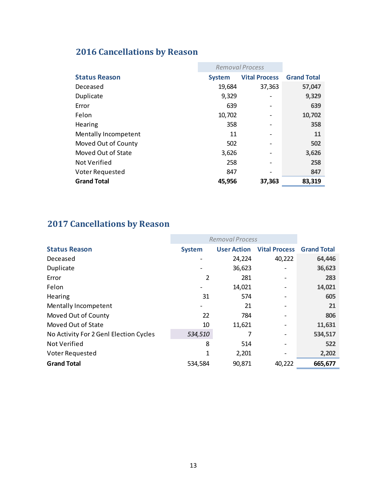# **2016 Cancellations by Reason**

|                        | <b>Removal Process</b> |                      |                    |
|------------------------|------------------------|----------------------|--------------------|
| <b>Status Reason</b>   | <b>System</b>          | <b>Vital Process</b> | <b>Grand Total</b> |
| Deceased               | 19,684                 | 37,363               | 57,047             |
| Duplicate              | 9,329                  |                      | 9,329              |
| Error                  | 639                    |                      | 639                |
| Felon                  | 10,702                 |                      | 10,702             |
| Hearing                | 358                    |                      | 358                |
| Mentally Incompetent   | 11                     |                      | 11                 |
| Moved Out of County    | 502                    |                      | 502                |
| Moved Out of State     | 3,626                  |                      | 3,626              |
| Not Verified           | 258                    |                      | 258                |
| <b>Voter Requested</b> | 847                    |                      | 847                |
| <b>Grand Total</b>     | 45,956                 | 37,363               | 83,319             |

# **2017 Cancellations by Reason**

|                                        | Removal Process |                    |                      |                    |
|----------------------------------------|-----------------|--------------------|----------------------|--------------------|
| <b>Status Reason</b>                   | <b>System</b>   | <b>User Action</b> | <b>Vital Process</b> | <b>Grand Total</b> |
| Deceased                               |                 | 24,224             | 40,222               | 64,446             |
| Duplicate                              |                 | 36,623             |                      | 36,623             |
| Error                                  | $\overline{2}$  | 281                |                      | 283                |
| Felon                                  |                 | 14,021             |                      | 14,021             |
| Hearing                                | 31              | 574                |                      | 605                |
| Mentally Incompetent                   | -               | 21                 |                      | 21                 |
| Moved Out of County                    | 22              | 784                |                      | 806                |
| Moved Out of State                     | 10              | 11,621             |                      | 11,631             |
| No Activity For 2 Genl Election Cycles | 534,510         | 7                  |                      | 534,517            |
| Not Verified                           | 8               | 514                |                      | 522                |
| Voter Requested                        | 1               | 2,201              |                      | 2,202              |
| <b>Grand Total</b>                     | 534,584         | 90,871             | 40,222               | 665,677            |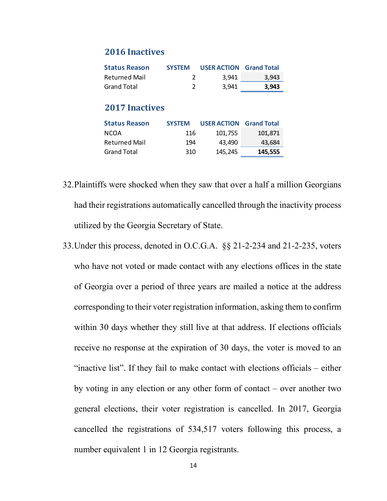### **2016 Inactives**

| <b>Status Reason</b>  | <b>SYSTEM</b> | <b>USER ACTION Grand Total</b> |                    |
|-----------------------|---------------|--------------------------------|--------------------|
| <b>Returned Mail</b>  | 2             | 3,941                          | 3,943              |
| <b>Grand Total</b>    | 2             | 3,941                          | 3,943              |
| <b>2017 Inactives</b> |               |                                |                    |
| <b>Status Reason</b>  | <b>SYSTEM</b> | <b>USER ACTION</b>             | <b>Grand Total</b> |
| <b>NCOA</b>           | 116           | 101,755                        | 101,871            |
| <b>Returned Mail</b>  | 194           | 43,490                         | 43,684             |

Grand Total 310 145,245 **145,555**

- 32.Plaintiffs were shocked when they saw that over a half a million Georgians had their registrations automatically cancelled through the inactivity process utilized by the Georgia Secretary of State.
- 33.Under this process, denoted in O.C.G.A. §§ 21-2-234 and 21-2-235, voters who have not voted or made contact with any elections offices in the state of Georgia over a period of three years are mailed a notice at the address corresponding to their voter registration information, asking them to confirm within 30 days whether they still live at that address. If elections officials receive no response at the expiration of 30 days, the voter is moved to an "inactive list". If they fail to make contact with elections officials – either by voting in any election or any other form of contact – over another two general elections, their voter registration is cancelled. In 2017, Georgia cancelled the registrations of 534,517 voters following this process, a number equivalent 1 in 12 Georgia registrants.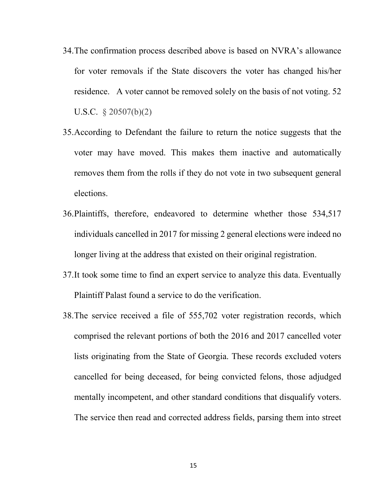- 34.The confirmation process described above is based on NVRA's allowance for voter removals if the State discovers the voter has changed his/her residence. A voter cannot be removed solely on the basis of not voting. 52 U.S.C. § 20507(b)(2)
- 35.According to Defendant the failure to return the notice suggests that the voter may have moved. This makes them inactive and automatically removes them from the rolls if they do not vote in two subsequent general elections.
- 36.Plaintiffs, therefore, endeavored to determine whether those 534,517 individuals cancelled in 2017 for missing 2 general elections were indeed no longer living at the address that existed on their original registration.
- 37.It took some time to find an expert service to analyze this data. Eventually Plaintiff Palast found a service to do the verification.
- 38.The service received a file of 555,702 voter registration records, which comprised the relevant portions of both the 2016 and 2017 cancelled voter lists originating from the State of Georgia. These records excluded voters cancelled for being deceased, for being convicted felons, those adjudged mentally incompetent, and other standard conditions that disqualify voters. The service then read and corrected address fields, parsing them into street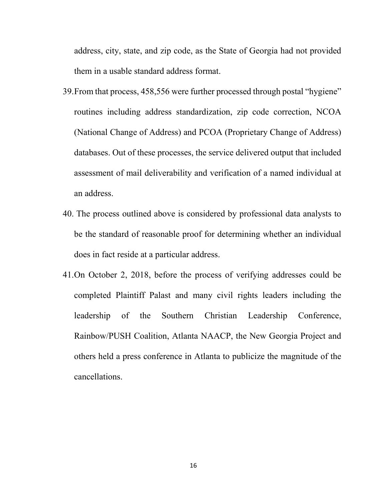address, city, state, and zip code, as the State of Georgia had not provided them in a usable standard address format.

- 39.From that process, 458,556 were further processed through postal "hygiene" routines including address standardization, zip code correction, NCOA (National Change of Address) and PCOA (Proprietary Change of Address) databases. Out of these processes, the service delivered output that included assessment of mail deliverability and verification of a named individual at an address.
- 40. The process outlined above is considered by professional data analysts to be the standard of reasonable proof for determining whether an individual does in fact reside at a particular address.
- 41.On October 2, 2018, before the process of verifying addresses could be completed Plaintiff Palast and many civil rights leaders including the leadership of the Southern Christian Leadership Conference, Rainbow/PUSH Coalition, Atlanta NAACP, the New Georgia Project and others held a press conference in Atlanta to publicize the magnitude of the cancellations.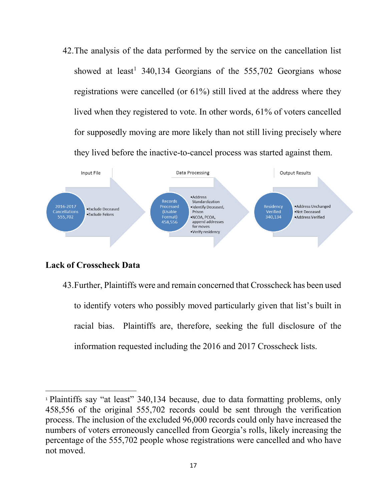42.The analysis of the data performed by the service on the cancellation list showed at least<sup>[1](#page-16-0)</sup> 340,134 Georgians of the  $555,702$  Georgians whose registrations were cancelled (or 61%) still lived at the address where they lived when they registered to vote. In other words, 61% of voters cancelled for supposedly moving are more likely than not still living precisely where they lived before the inactive-to-cancel process was started against them.



## **Lack of Crosscheck Data**

 $\overline{a}$ 

43.Further, Plaintiffs were and remain concerned that Crosscheck has been used to identify voters who possibly moved particularly given that list's built in racial bias. Plaintiffs are, therefore, seeking the full disclosure of the information requested including the 2016 and 2017 Crosscheck lists.

<span id="page-16-0"></span><sup>1</sup> Plaintiffs say "at least" 340,134 because, due to data formatting problems, only 458,556 of the original 555,702 records could be sent through the verification process. The inclusion of the excluded 96,000 records could only have increased the numbers of voters erroneously cancelled from Georgia's rolls, likely increasing the percentage of the 555,702 people whose registrations were cancelled and who have not moved.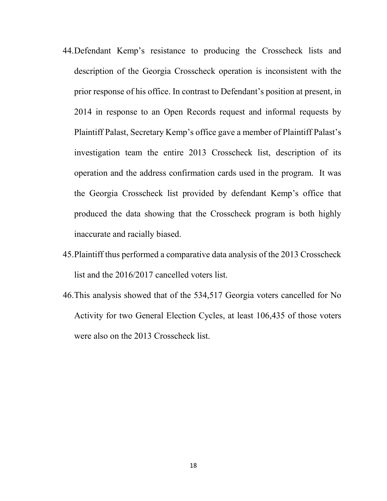- 44.Defendant Kemp's resistance to producing the Crosscheck lists and description of the Georgia Crosscheck operation is inconsistent with the prior response of his office. In contrast to Defendant's position at present, in 2014 in response to an Open Records request and informal requests by Plaintiff Palast, Secretary Kemp's office gave a member of Plaintiff Palast's investigation team the entire 2013 Crosscheck list, description of its operation and the address confirmation cards used in the program. It was the Georgia Crosscheck list provided by defendant Kemp's office that produced the data showing that the Crosscheck program is both highly inaccurate and racially biased.
- 45.Plaintiff thus performed a comparative data analysis of the 2013 Crosscheck list and the 2016/2017 cancelled voters list.
- 46.This analysis showed that of the 534,517 Georgia voters cancelled for No Activity for two General Election Cycles, at least 106,435 of those voters were also on the 2013 Crosscheck list.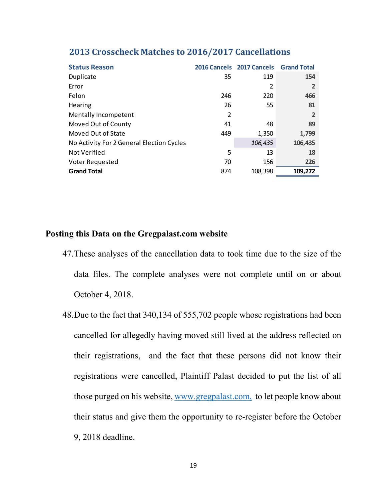| <b>Status Reason</b>                      |     | 2016 Cancels 2017 Cancels | <b>Grand Total</b> |
|-------------------------------------------|-----|---------------------------|--------------------|
| Duplicate                                 | 35  | 119                       | 154                |
| Error                                     |     | $\overline{2}$            | 2                  |
| Felon                                     | 246 | 220                       | 466                |
| Hearing                                   | 26  | 55                        | 81                 |
| Mentally Incompetent                      | 2   |                           | 2                  |
| Moved Out of County                       | 41  | 48                        | 89                 |
| Moved Out of State                        | 449 | 1,350                     | 1,799              |
| No Activity For 2 General Election Cycles |     | 106,435                   | 106,435            |
| Not Verified                              | 5   | 13                        | 18                 |
| Voter Requested                           | 70  | 156                       | 226                |
| <b>Grand Total</b>                        | 874 | 108,398                   | 109,272            |

## **2013 Crosscheck Matches to 2016/2017 Cancellations**

## **Posting this Data on the Gregpalast.com website**

- 47.These analyses of the cancellation data to took time due to the size of the data files. The complete analyses were not complete until on or about October 4, 2018.
- 48.Due to the fact that 340,134 of 555,702 people whose registrations had been cancelled for allegedly having moved still lived at the address reflected on their registrations, and the fact that these persons did not know their registrations were cancelled, Plaintiff Palast decided to put the list of all those purged on his website, [www.gregpalast.com,](http://www.gregpalast.com/) to let people know about their status and give them the opportunity to re-register before the October 9, 2018 deadline.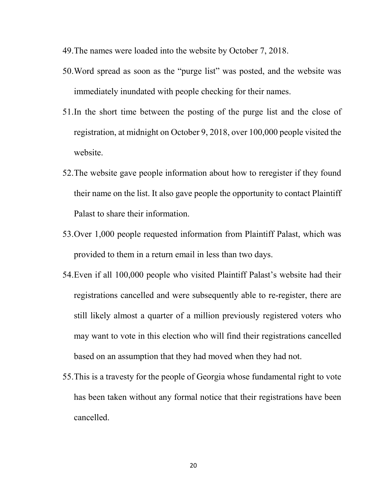- 49.The names were loaded into the website by October 7, 2018.
- 50.Word spread as soon as the "purge list" was posted, and the website was immediately inundated with people checking for their names.
- 51.In the short time between the posting of the purge list and the close of registration, at midnight on October 9, 2018, over 100,000 people visited the website.
- 52.The website gave people information about how to reregister if they found their name on the list. It also gave people the opportunity to contact Plaintiff Palast to share their information.
- 53.Over 1,000 people requested information from Plaintiff Palast, which was provided to them in a return email in less than two days.
- 54.Even if all 100,000 people who visited Plaintiff Palast's website had their registrations cancelled and were subsequently able to re-register, there are still likely almost a quarter of a million previously registered voters who may want to vote in this election who will find their registrations cancelled based on an assumption that they had moved when they had not.
- 55.This is a travesty for the people of Georgia whose fundamental right to vote has been taken without any formal notice that their registrations have been cancelled.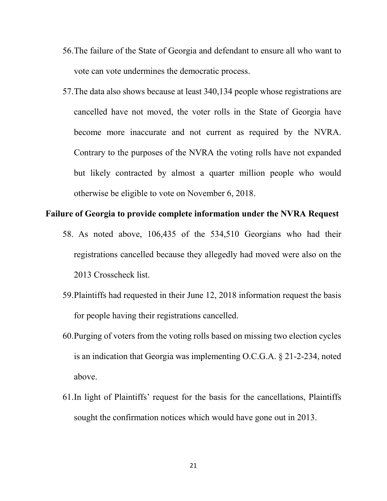- 56.The failure of the State of Georgia and defendant to ensure all who want to vote can vote undermines the democratic process.
- 57.The data also shows because at least 340,134 people whose registrations are cancelled have not moved, the voter rolls in the State of Georgia have become more inaccurate and not current as required by the NVRA. Contrary to the purposes of the NVRA the voting rolls have not expanded but likely contracted by almost a quarter million people who would otherwise be eligible to vote on November 6, 2018.

### **Failure of Georgia to provide complete information under the NVRA Request**

- 58. As noted above, 106,435 of the 534,510 Georgians who had their registrations cancelled because they allegedly had moved were also on the 2013 Crosscheck list.
- 59.Plaintiffs had requested in their June 12, 2018 information request the basis for people having their registrations cancelled.
- 60.Purging of voters from the voting rolls based on missing two election cycles is an indication that Georgia was implementing [O.C.G.A. § 21-2-234,](https://advance.lexis.com/api/document?id=urn:contentItem:5T58-J100-004D-83CY-00000-00&idtype=PID&context=1000516) noted above.
- 61.In light of Plaintiffs' request for the basis for the cancellations, Plaintiffs sought the confirmation notices which would have gone out in 2013.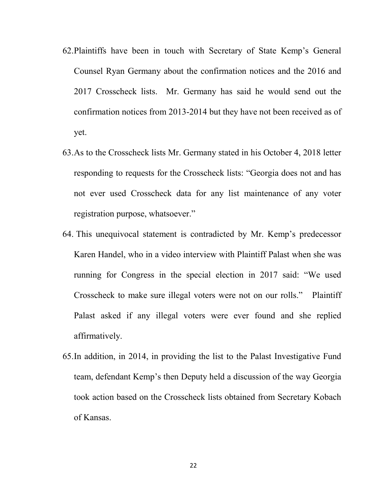- 62.Plaintiffs have been in touch with Secretary of State Kemp's General Counsel Ryan Germany about the confirmation notices and the 2016 and 2017 Crosscheck lists. Mr. Germany has said he would send out the confirmation notices from 2013-2014 but they have not been received as of yet.
- 63.As to the Crosscheck lists Mr. Germany stated in his October 4, 2018 letter responding to requests for the Crosscheck lists: "Georgia does not and has not ever used Crosscheck data for any list maintenance of any voter registration purpose, whatsoever."
- 64. This unequivocal statement is contradicted by Mr. Kemp's predecessor Karen Handel, who in a video interview with Plaintiff Palast when she was running for Congress in the special election in 2017 said: "We used Crosscheck to make sure illegal voters were not on our rolls." Plaintiff Palast asked if any illegal voters were ever found and she replied affirmatively.
- 65.In addition, in 2014, in providing the list to the Palast Investigative Fund team, defendant Kemp's then Deputy held a discussion of the way Georgia took action based on the Crosscheck lists obtained from Secretary Kobach of Kansas.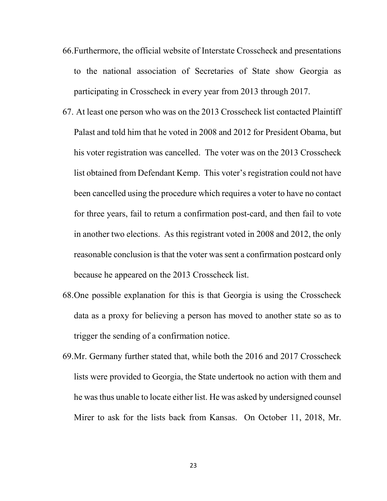- 66.Furthermore, the official website of Interstate Crosscheck and presentations to the national association of Secretaries of State show Georgia as participating in Crosscheck in every year from 2013 through 2017.
- 67. At least one person who was on the 2013 Crosscheck list contacted Plaintiff Palast and told him that he voted in 2008 and 2012 for President Obama, but his voter registration was cancelled. The voter was on the 2013 Crosscheck list obtained from Defendant Kemp. This voter's registration could not have been cancelled using the procedure which requires a voter to have no contact for three years, fail to return a confirmation post-card, and then fail to vote in another two elections. As this registrant voted in 2008 and 2012, the only reasonable conclusion is that the voter was sent a confirmation postcard only because he appeared on the 2013 Crosscheck list.
- 68.One possible explanation for this is that Georgia is using the Crosscheck data as a proxy for believing a person has moved to another state so as to trigger the sending of a confirmation notice.
- 69.Mr. Germany further stated that, while both the 2016 and 2017 Crosscheck lists were provided to Georgia, the State undertook no action with them and he was thus unable to locate either list. He was asked by undersigned counsel Mirer to ask for the lists back from Kansas. On October 11, 2018, Mr.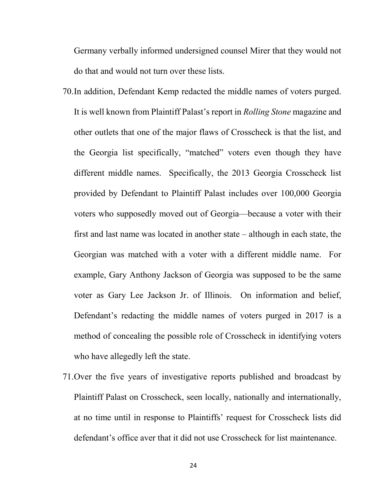Germany verbally informed undersigned counsel Mirer that they would not do that and would not turn over these lists.

- 70.In addition, Defendant Kemp redacted the middle names of voters purged. It is well known from Plaintiff Palast's report in *Rolling Stone* magazine and other outlets that one of the major flaws of Crosscheck is that the list, and the Georgia list specifically, "matched" voters even though they have different middle names. Specifically, the 2013 Georgia Crosscheck list provided by Defendant to Plaintiff Palast includes over 100,000 Georgia voters who supposedly moved out of Georgia—because a voter with their first and last name was located in another state – although in each state, the Georgian was matched with a voter with a different middle name. For example, Gary Anthony Jackson of Georgia was supposed to be the same voter as Gary Lee Jackson Jr. of Illinois. On information and belief, Defendant's redacting the middle names of voters purged in 2017 is a method of concealing the possible role of Crosscheck in identifying voters who have allegedly left the state.
- 71.Over the five years of investigative reports published and broadcast by Plaintiff Palast on Crosscheck, seen locally, nationally and internationally, at no time until in response to Plaintiffs' request for Crosscheck lists did defendant's office aver that it did not use Crosscheck for list maintenance.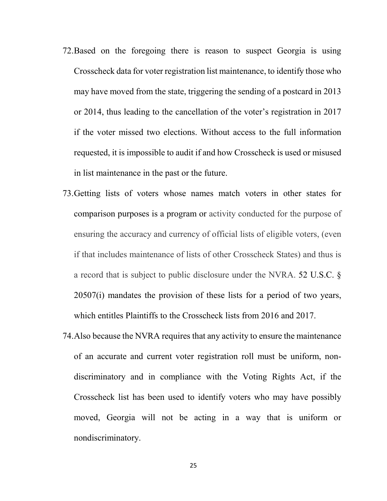- 72.Based on the foregoing there is reason to suspect Georgia is using Crosscheck data for voter registration list maintenance, to identify those who may have moved from the state, triggering the sending of a postcard in 2013 or 2014, thus leading to the cancellation of the voter's registration in 2017 if the voter missed two elections. Without access to the full information requested, it is impossible to audit if and how Crosscheck is used or misused in list maintenance in the past or the future.
- 73.Getting lists of voters whose names match voters in other states for comparison purposes is a program or activity conducted for the purpose of ensuring the accuracy and currency of official lists of eligible voters, (even if that includes maintenance of lists of other Crosscheck States) and thus is a record that is subject to public disclosure under the NVRA. 52 U.S.C. § 20507(i) mandates the provision of these lists for a period of two years, which entitles Plaintiffs to the Crosscheck lists from 2016 and 2017.
- 74.Also because the NVRA requires that any activity to ensure the maintenance of an accurate and current voter registration roll must be uniform, nondiscriminatory and in compliance with the Voting Rights Act, if the Crosscheck list has been used to identify voters who may have possibly moved, Georgia will not be acting in a way that is uniform or nondiscriminatory.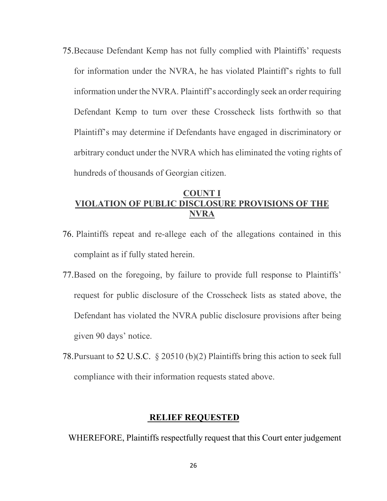75.Because Defendant Kemp has not fully complied with Plaintiffs' requests for information under the NVRA, he has violated Plaintiff's rights to full information under the NVRA. Plaintiff's accordingly seek an order requiring Defendant Kemp to turn over these Crosscheck lists forthwith so that Plaintiff's may determine if Defendants have engaged in discriminatory or arbitrary conduct under the NVRA which has eliminated the voting rights of hundreds of thousands of Georgian citizen.

## **COUNT I VIOLATION OF PUBLIC DISCLOSURE PROVISIONS OF THE NVRA**

- 76. Plaintiffs repeat and re-allege each of the allegations contained in this complaint as if fully stated herein.
- 77.Based on the foregoing, by failure to provide full response to Plaintiffs' request for public disclosure of the Crosscheck lists as stated above, the Defendant has violated the NVRA public disclosure provisions after being given 90 days' notice.
- 78.Pursuant to 52 U.S.C. § 20510 (b)(2) Plaintiffs bring this action to seek full compliance with their information requests stated above.

### **RELIEF REQUESTED**

WHEREFORE, Plaintiffs respectfully request that this Court enter judgement